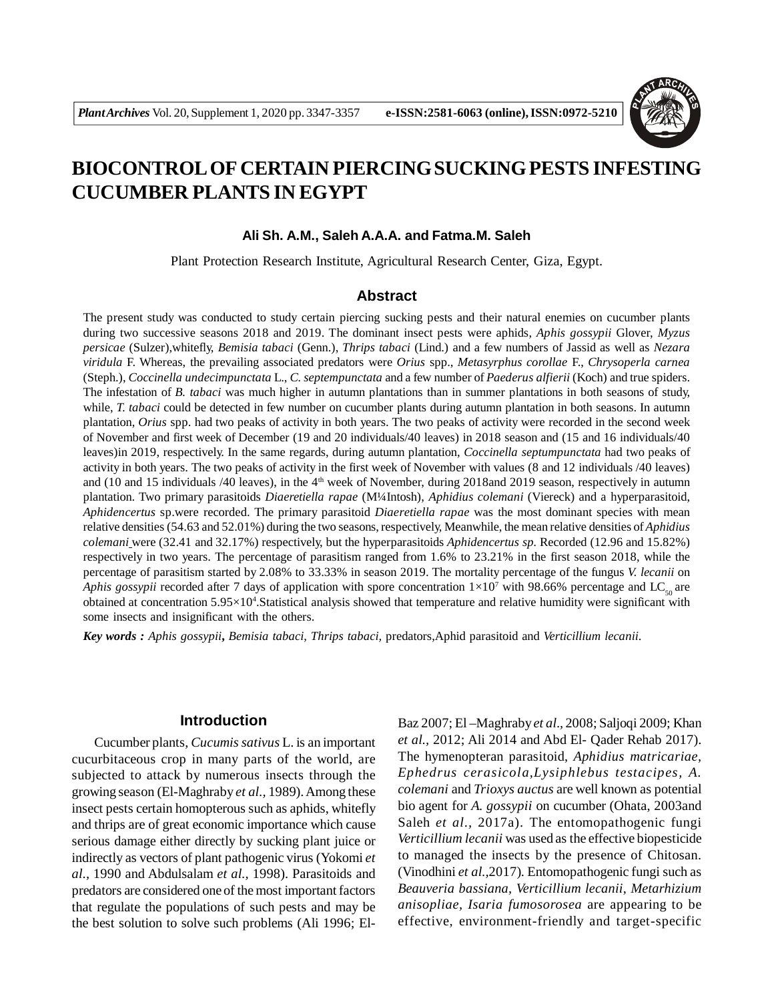

# **BIOCONTROL OF CERTAIN PIERCING SUCKING PESTS INFESTING CUCUMBER PLANTS IN EGYPT**

# **Ali Sh. A.M., Saleh A.A.A. and Fatma.M. Saleh**

Plant Protection Research Institute, Agricultural Research Center, Giza, Egypt.

## **Abstract**

The present study was conducted to study certain piercing sucking pests and their natural enemies on cucumber plants during two successive seasons 2018 and 2019. The dominant insect pests were aphids, *Aphis gossypii* Glover, *Myzus persicae* (Sulzer),whitefly, *Bemisia tabaci* (Genn.), *Thrips tabaci* (Lind.) and a few numbers of Jassid as well as *Nezara viridula* F. Whereas, the prevailing associated predators were *Orius* spp., *Metasyrphus corollae* F., *Chrysoperla carnea* (Steph.), *Coccinella undecimpunctata* L., *C. septempunctata* and a few number of *Paederus alfierii* (Koch) and true spiders. The infestation of *B. tabaci* was much higher in autumn plantations than in summer plantations in both seasons of study, while, *T. tabaci* could be detected in few number on cucumber plants during autumn plantation in both seasons. In autumn plantation, *Orius* spp. had two peaks of activity in both years. The two peaks of activity were recorded in the second week of November and first week of December (19 and 20 individuals/40 leaves) in 2018 season and (15 and 16 individuals/40 leaves)in 2019, respectively. In the same regards, during autumn plantation, *Coccinella septumpunctata* had two peaks of activity in both years. The two peaks of activity in the first week of November with values (8 and 12 individuals /40 leaves) and (10 and 15 individuals /40 leaves), in the  $4<sup>th</sup>$  week of November, during 2018and 2019 season, respectively in autumn plantation. Two primary parasitoids *Diaeretiella rapae* (M¼Intosh), *Aphidius colemani* (Viereck) and a hyperparasitoid, *Aphidencertus* sp.were recorded. The primary parasitoid *Diaeretiella rapae* was the most dominant species with mean relative densities (54.63 and 52.01%) during the two seasons, respectively, Meanwhile, the mean relative densities of *Aphidius colemani* were (32.41 and 32.17%) respectively, but the hyperparasitoids *Aphidencertus sp.* Recorded (12.96 and 15.82%) respectively in two years. The percentage of parasitism ranged from 1.6% to 23.21% in the first season 2018, while the percentage of parasitism started by 2.08% to 33.33% in season 2019. The mortality percentage of the fungus *V. lecanii* on *Aphis gossypii* recorded after 7 days of application with spore concentration  $1\times10^7$  with 98.66% percentage and LC<sub>50</sub> are obtained at concentration  $5.95\times10^4$ . Statistical analysis showed that temperature and relative humidity were significant with some insects and insignificant with the others.

*Key words : Aphis gossypii***,** *Bemisia tabaci*, *Thrips tabaci,* predators,Aphid parasitoid and *Verticillium lecanii*.

# **Introduction**

Cucumber plants, *Cucumis sativus* L. is an important cucurbitaceous crop in many parts of the world, are subjected to attack by numerous insects through the growing season (El-Maghraby *et al.,* 1989). Among these insect pests certain homopterous such as aphids, whitefly and thrips are of great economic importance which cause serious damage either directly by sucking plant juice or indirectly as vectors of plant pathogenic virus (Yokomi *et al.,* 1990 and Abdulsalam *et al.,* 1998). Parasitoids and predators are considered one of the most important factors that regulate the populations of such pests and may be the best solution to solve such problems (Ali 1996; ElBaz 2007; El –Maghraby *et al.,* 2008; Saljoqi 2009; Khan *et al.,* 2012; Ali 2014 and Abd El- Qader Rehab 2017). The hymenopteran parasitoid, *Aphidius matricariae, Ephedrus cerasicola,Lysiphlebus testacipes, A. colemani* and *Trioxys auctus* are well known as potential bio agent for *A. gossypii* on cucumber (Ohata, 2003and Saleh *et al.,* 2017a). The entomopathogenic fungi *Verticillium lecanii* was used as the effective biopesticide to managed the insects by the presence of Chitosan. (Vinodhini *et al.,*2017)*.* Entomopathogenic fungi such as *Beauveria bassiana, Verticillium lecanii, Metarhizium anisopliae, Isaria fumosorosea* are appearing to be effective, environment-friendly and target-specific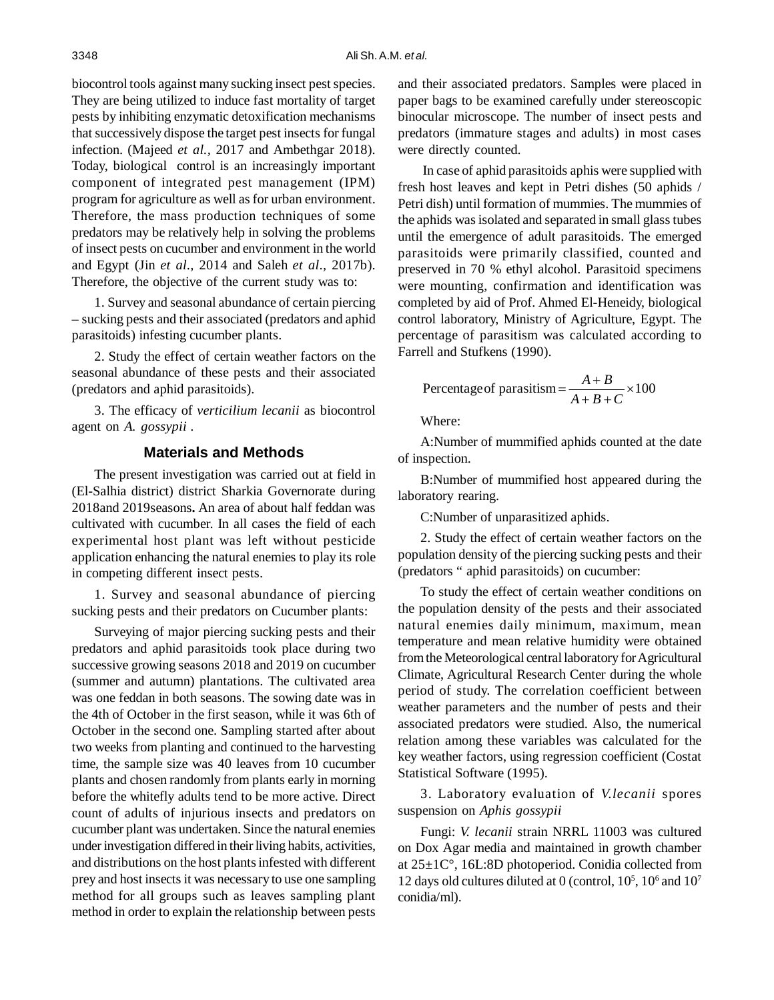biocontrol tools against many sucking insect pest species. They are being utilized to induce fast mortality of target pests by inhibiting enzymatic detoxification mechanisms that successively dispose the target pest insects for fungal infection. (Majeed *et al.,* 2017 and Ambethgar 2018). Today, biological control is an increasingly important component of integrated pest management (IPM) program for agriculture as well as for urban environment. Therefore, the mass production techniques of some predators may be relatively help in solving the problems of insect pests on cucumber and environment in the world and Egypt (Jin *et al.,* 2014 and Saleh *et al.,* 2017b). Therefore, the objective of the current study was to:

1. Survey and seasonal abundance of certain piercing – sucking pests and their associated (predators and aphid parasitoids) infesting cucumber plants.

2. Study the effect of certain weather factors on the seasonal abundance of these pests and their associated (predators and aphid parasitoids).

3. The efficacy of *verticilium lecanii* as biocontrol agent on *A. gossypii* .

## **Materials and Methods**

The present investigation was carried out at field in (El-Salhia district) district Sharkia Governorate during 2018and 2019seasons**.** An area of about half feddan was cultivated with cucumber. In all cases the field of each experimental host plant was left without pesticide application enhancing the natural enemies to play its role in competing different insect pests.

1. Survey and seasonal abundance of piercing sucking pests and their predators on Cucumber plants:

Surveying of major piercing sucking pests and their predators and aphid parasitoids took place during two successive growing seasons 2018 and 2019 on cucumber (summer and autumn) plantations. The cultivated area was one feddan in both seasons. The sowing date was in the 4th of October in the first season, while it was 6th of October in the second one. Sampling started after about two weeks from planting and continued to the harvesting time, the sample size was 40 leaves from 10 cucumber plants and chosen randomly from plants early in morning before the whitefly adults tend to be more active. Direct count of adults of injurious insects and predators on cucumber plant was undertaken. Since the natural enemies under investigation differed in their living habits, activities, and distributions on the host plants infested with different prey and host insects it was necessary to use one sampling method for all groups such as leaves sampling plant method in order to explain the relationship between pests

and their associated predators. Samples were placed in paper bags to be examined carefully under stereoscopic binocular microscope. The number of insect pests and predators (immature stages and adults) in most cases were directly counted.

 In case of aphid parasitoids aphis were supplied with fresh host leaves and kept in Petri dishes (50 aphids / Petri dish) until formation of mummies. The mummies of the aphids was isolated and separated in small glass tubes until the emergence of adult parasitoids. The emerged parasitoids were primarily classified, counted and preserved in 70 % ethyl alcohol. Parasitoid specimens were mounting, confirmation and identification was completed by aid of Prof. Ahmed El-Heneidy, biological control laboratory, Ministry of Agriculture, Egypt. The percentage of parasitism was calculated according to Farrell and Stufkens (1990).

Percentage of parasitism = 
$$
\frac{A+B}{A+B+C} \times 100
$$

Where:

A:Number of mummified aphids counted at the date of inspection.

B:Number of mummified host appeared during the laboratory rearing.

C:Number of unparasitized aphids.

2. Study the effect of certain weather factors on the population density of the piercing sucking pests and their (predators " aphid parasitoids) on cucumber:

To study the effect of certain weather conditions on the population density of the pests and their associated natural enemies daily minimum, maximum, mean temperature and mean relative humidity were obtained from the Meteorological central laboratory for Agricultural Climate, Agricultural Research Center during the whole period of study. The correlation coefficient between weather parameters and the number of pests and their associated predators were studied. Also, the numerical relation among these variables was calculated for the key weather factors, using regression coefficient (Costat Statistical Software (1995).

3. Laboratory evaluation of *V.lecanii* spores suspension on *Aphis gossypii*

Fungi: *V. lecanii* strain NRRL 11003 was cultured on Dox Agar media and maintained in growth chamber at 25±1C°, 16L:8D photoperiod. Conidia collected from 12 days old cultures diluted at 0 (control,  $10^5$ ,  $10^6$  and  $10^7$ conidia/ml).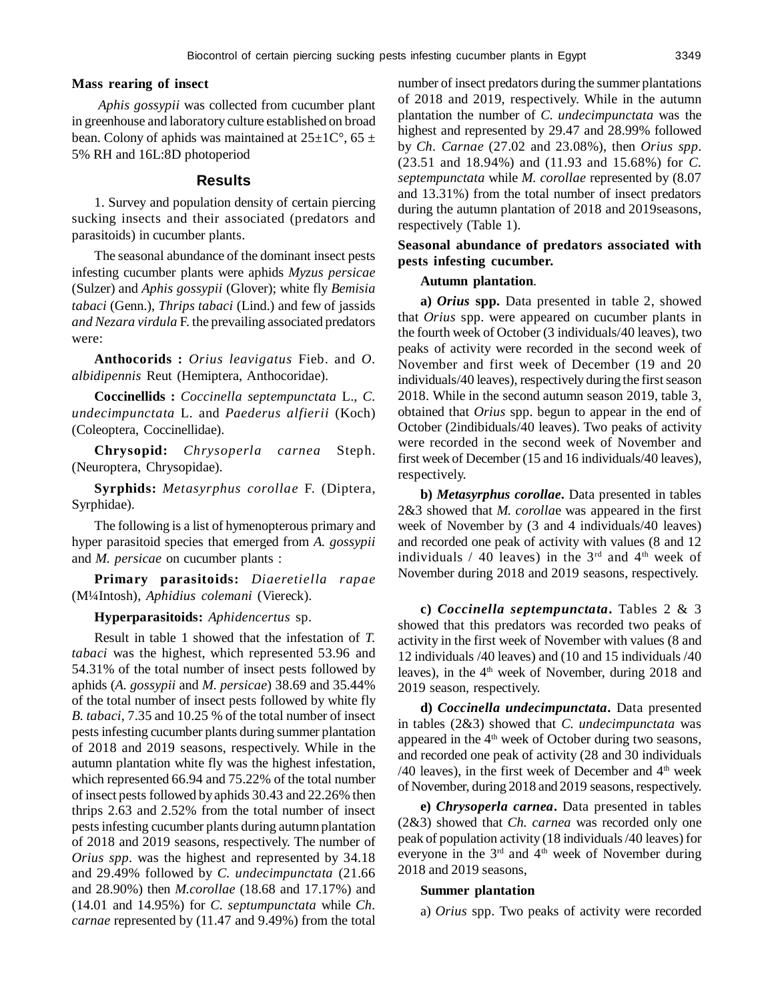# **Mass rearing of insect**

*Aphis gossypii* was collected from cucumber plant in greenhouse and laboratory culture established on broad bean. Colony of aphids was maintained at  $25\pm10^{\circ}$ , 65  $\pm$ 5% RH and 16L:8D photoperiod

#### **Results**

1. Survey and population density of certain piercing sucking insects and their associated (predators and parasitoids) in cucumber plants.

The seasonal abundance of the dominant insect pests infesting cucumber plants were aphids *Myzus persicae* (Sulzer) and *Aphis gossypii* (Glover); white fly *Bemisia tabaci* (Genn.), *Thrips tabaci* (Lind.) and few of jassids *and Nezara virdula* F. the prevailing associated predators were:

**Anthocorids :** *Orius leavigatus* Fieb. and *O. albidipennis* Reut (Hemiptera, Anthocoridae).

**Coccinellids :** *Coccinella septempunctata* L., *C. undecimpunctata* L. and *Paederus alfierii* (Koch) (Coleoptera, Coccinellidae).

**Chrysopid:** *Chrysoperla carnea* Steph. (Neuroptera, Chrysopidae).

**Syrphids:** *Metasyrphus corollae* F. (Diptera, Syrphidae).

The following is a list of hymenopterous primary and hyper parasitoid species that emerged from *A. gossypii* and *M. persicae* on cucumber plants :

**Primary parasitoids:** *Diaeretiella rapae* (M¼Intosh), *Aphidius colemani* (Viereck).

## **Hyperparasitoids:** *Aphidencertus* sp.

Result in table 1 showed that the infestation of *T. tabaci* was the highest, which represented 53.96 and 54.31% of the total number of insect pests followed by aphids (*A. gossypii* and *M. persicae*) 38.69 and 35.44% of the total number of insect pests followed by white fly *B. tabaci*, 7.35 and 10.25 % of the total number of insect pests infesting cucumber plants during summer plantation of 2018 and 2019 seasons, respectively. While in the autumn plantation white fly was the highest infestation, which represented 66.94 and 75.22% of the total number of insect pests followed by aphids 30.43 and 22.26% then thrips 2.63 and 2.52% from the total number of insect pests infesting cucumber plants during autumn plantation of 2018 and 2019 seasons, respectively. The number of *Orius spp*. was the highest and represented by 34.18 and 29.49% followed by *C. undecimpunctata* (21.66 and 28.90%) then *M.corollae* (18.68 and 17.17%) and (14.01 and 14.95%) for *C. septumpunctata* while *Ch. carnae* represented by (11.47 and 9.49%) from the total

number of insect predators during the summer plantations of 2018 and 2019, respectively. While in the autumn plantation the number of *C. undecimpunctata* was the highest and represented by 29.47 and 28.99% followed by *Ch. Carnae* (27.02 and 23.08%), then *Orius spp*. (23.51 and 18.94%) and (11.93 and 15.68%) for *C. septempunctata* while *M. corollae* represented by (8.07 and 13.31%) from the total number of insect predators during the autumn plantation of 2018 and 2019seasons, respectively (Table 1).

# **Seasonal abundance of predators associated with pests infesting cucumber.**

#### **Autumn plantation**.

**a)** *Orius* **spp.** Data presented in table 2, showed that *Orius* spp. were appeared on cucumber plants in the fourth week of October (3 individuals/40 leaves), two peaks of activity were recorded in the second week of November and first week of December (19 and 20 individuals/40 leaves), respectively during the first season 2018. While in the second autumn season 2019, table 3, obtained that *Orius* spp. begun to appear in the end of October (2indibiduals/40 leaves). Two peaks of activity were recorded in the second week of November and first week of December (15 and 16 individuals/40 leaves), respectively.

**b)** *Metasyrphus corollae***.** Data presented in tables 2&3 showed that *M. corolla*e was appeared in the first week of November by (3 and 4 individuals/40 leaves) and recorded one peak of activity with values (8 and 12 individuals / 40 leaves) in the  $3<sup>rd</sup>$  and  $4<sup>th</sup>$  week of November during 2018 and 2019 seasons, respectively.

**c)** *Coccinella septempunctata***.** Tables 2 & 3 showed that this predators was recorded two peaks of activity in the first week of November with values (8 and 12 individuals /40 leaves) and (10 and 15 individuals /40 leaves), in the  $4<sup>th</sup>$  week of November, during 2018 and 2019 season, respectively.

**d)** *Coccinella undecimpunctata***.** Data presented in tables (2&3) showed that *C. undecimpunctata* was appeared in the  $4<sup>th</sup>$  week of October during two seasons, and recorded one peak of activity (28 and 30 individuals  $/40$  leaves), in the first week of December and  $4<sup>th</sup>$  week of November, during 2018 and 2019 seasons, respectively.

**e)** *Chrysoperla carnea***.** Data presented in tables (2&3) showed that *Ch. carnea* was recorded only one peak of population activity (18 individuals /40 leaves) for everyone in the 3<sup>rd</sup> and 4<sup>th</sup> week of November during 2018 and 2019 seasons,

#### **Summer plantation**

a) *Orius* spp. Two peaks of activity were recorded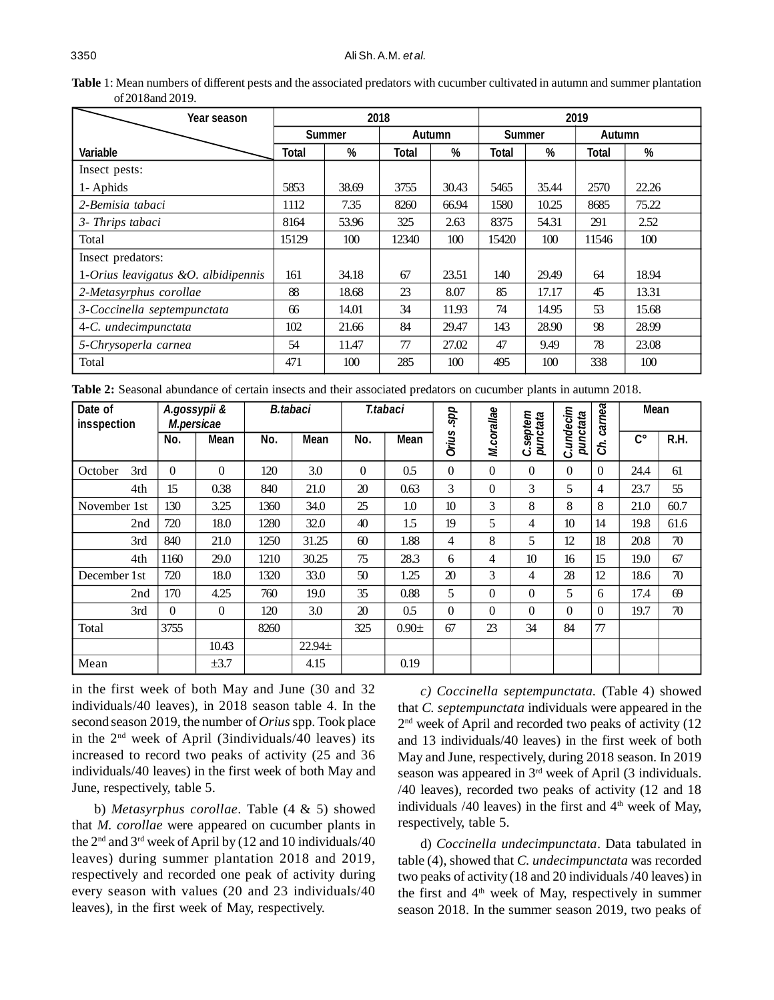| <b>Table 1:</b> Mean numbers of different pests and the associated predators with cucumber cultivated in autumn and summer plantation |  |
|---------------------------------------------------------------------------------------------------------------------------------------|--|
| of 2018 and 2019.                                                                                                                     |  |

| Year season                           |       | 2018          |       |               |               |       | 2019   |       |
|---------------------------------------|-------|---------------|-------|---------------|---------------|-------|--------|-------|
|                                       |       | <b>Summer</b> |       | <b>Autumn</b> | <b>Summer</b> |       | Autumn |       |
| <b>Variable</b>                       | Total | %             | Total | %             | Total         | %     | Total  | %     |
| Insect pests:                         |       |               |       |               |               |       |        |       |
| 1- Aphids                             | 5853  | 38.69         | 3755  | 30.43         | 5465          | 35.44 | 2570   | 22.26 |
| 2-Bemisia tabaci                      | 1112  | 7.35          | 8260  | 66.94         | 1580          | 10.25 | 8685   | 75.22 |
| 3- Thrips tabaci                      | 8164  | 53.96         | 325   | 2.63          | 8375          | 54.31 | 291    | 2.52  |
| Total                                 | 15129 | 100           | 12340 | 100           | 15420         | 100   | 11546  | 100   |
| Insect predators:                     |       |               |       |               |               |       |        |       |
| 1-Orius leavigatus $&0.$ albidipennis | 161   | 34.18         | 67    | 23.51         | 140           | 29.49 | 64     | 18.94 |
| 2-Metasyrphus corollae                | 88    | 18.68         | 23    | 8.07          | 85            | 17.17 | 45     | 13.31 |
| 3-Coccinella septempunctata           | 66    | 14.01         | 34    | 11.93         | 74            | 14.95 | 53     | 15.68 |
| 4-C. undecimpunctata                  | 102   | 21.66         | 84    | 29.47         | 143           | 28.90 | 98     | 28.99 |
| 5-Chrysoperla carnea                  | 54    | 11.47         | 77    | 27.02         | 47            | 9.49  | 78     | 23.08 |
| Total                                 | 471   | 100           | 285   | 100           | 495           | 100   | 338    | 100   |

**Table 2:** Seasonal abundance of certain insects and their associated predators on cucumber plants in autumn 2018.

| Date of<br>insspection | A.gossypii &<br>M.persicae |             |      | <b>B.tabaci</b> |                | T.tabaci    | spp              |              | septem        | C.undecim | carnea   | <b>Mean</b>        |      |
|------------------------|----------------------------|-------------|------|-----------------|----------------|-------------|------------------|--------------|---------------|-----------|----------|--------------------|------|
|                        | No.                        | <b>Mean</b> | No.  | <b>Mean</b>     | No.            | <b>Mean</b> | <b>Orius</b>     | M.corallae   | punctata<br>ن | punctata  | ස්       | $\mathsf{C}^\circ$ | R.H. |
| 3rd<br>October         | $\overline{0}$             | $\Omega$    | 120  | 3.0             | $\overline{0}$ | 0.5         | $\overline{0}$   | $\mathbf{0}$ | $\mathbf{0}$  | 0         | $\Omega$ | 24.4               | 61   |
| 4th                    | 15                         | 0.38        | 840  | 21.0            | 20             | 0.63        | 3                | $\theta$     | 3             | 5         | 4        | 23.7               | 55   |
| November 1st           | 130                        | 3.25        | 1360 | 34.0            | 25             | 1.0         | 10 <sup>10</sup> | 3            | 8             | 8         | 8        | 21.0               | 60.7 |
| 2nd                    | 720                        | 18.0        | 1280 | 32.0            | 40             | 1.5         | 19               | 5            | 4             | 10        | 14       | 19.8               | 61.6 |
| 3rd                    | 840                        | 21.0        | 1250 | 31.25           | 60             | 1.88        | 4                | 8            | 5             | 12        | 18       | 20.8               | 70   |
| 4th                    | 1160                       | 29.0        | 1210 | 30.25           | 75             | 28.3        | 6                | 4            | 10            | 16        | 15       | 19.0               | 67   |
| December 1st           | 720                        | 18.0        | 1320 | 33.0            | 50             | 1.25        | 20               | 3            | 4             | 28        | 12       | 18.6               | 70   |
| 2nd                    | 170                        | 4.25        | 760  | 19.0            | 35             | 0.88        | 5                | $\Omega$     | $\Omega$      | 5         | 6        | 17.4               | 69   |
| 3rd                    | $\Omega$                   | $\theta$    | 120  | 3.0             | 20             | 0.5         | $\theta$         | $\Omega$     | $\theta$      | $\Omega$  | $\Omega$ | 19.7               | 70   |
| Total                  | 3755                       |             | 8260 |                 | 325            | $0.90 \pm$  | 67               | 23           | 34            | 84        | 77       |                    |      |
|                        |                            | 10.43       |      | $22.94+$        |                |             |                  |              |               |           |          |                    |      |
| Mean                   |                            | $\pm 3.7$   |      | 4.15            |                | 0.19        |                  |              |               |           |          |                    |      |

in the first week of both May and June (30 and 32 individuals/40 leaves), in 2018 season table 4. In the second season 2019, the number of *Orius* spp. Took place in the  $2<sup>nd</sup>$  week of April (3individuals/40 leaves) its increased to record two peaks of activity (25 and 36 individuals/40 leaves) in the first week of both May and June, respectively, table 5.

b) *Metasyrphus corollae*. Table (4 & 5) showed that *M. corollae* were appeared on cucumber plants in the  $2<sup>nd</sup>$  and  $3<sup>rd</sup>$  week of April by (12 and 10 individuals/40 leaves) during summer plantation 2018 and 2019, respectively and recorded one peak of activity during every season with values (20 and 23 individuals/40 leaves), in the first week of May, respectively.

*c) Coccinella septempunctata.* (Table 4) showed that *C. septempunctata* individuals were appeared in the 2<sup>nd</sup> week of April and recorded two peaks of activity (12 and 13 individuals/40 leaves) in the first week of both May and June, respectively, during 2018 season. In 2019 season was appeared in 3<sup>rd</sup> week of April (3 individuals. /40 leaves), recorded two peaks of activity (12 and 18 individuals  $/40$  leaves) in the first and  $4<sup>th</sup>$  week of May, respectively, table 5.

d) *Coccinella undecimpunctata*. Data tabulated in table (4), showed that *C. undecimpunctata* was recorded two peaks of activity (18 and 20 individuals /40 leaves) in the first and  $4<sup>th</sup>$  week of May, respectively in summer season 2018. In the summer season 2019, two peaks of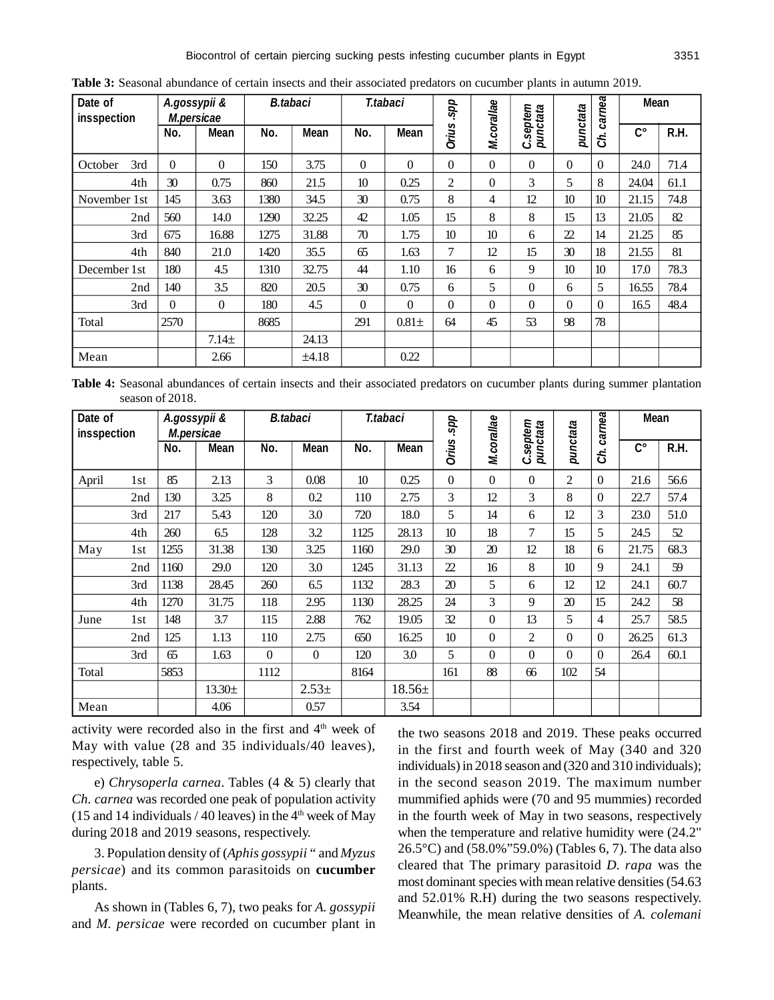| Date of<br>insspection | A.gossypii &<br>M.persicae |             | <b>B.tabaci</b> |       |          | T.tabaci       | spp          |            | septem        |                 | carnea           | <b>Mean</b>        |      |
|------------------------|----------------------------|-------------|-----------------|-------|----------|----------------|--------------|------------|---------------|-----------------|------------------|--------------------|------|
|                        | No.                        | <b>Mean</b> | No.             | Mean  | No.      | Mean           | <b>Orius</b> | M.corallae | punctata<br>ں | punctata        | కే               | $\mathsf{C}^\circ$ | R.H. |
| 3rd<br>October         | $\Omega$                   | $\Omega$    | 150             | 3.75  | $\Omega$ | $\Omega$       | $\Omega$     | $\Omega$   | $\Omega$      | 0               | $\Omega$         | 24.0               | 71.4 |
| 4th                    | 30                         | 0.75        | 860             | 21.5  | 10       | 0.25           | 2            | $\theta$   | 3             | 5               | 8                | 24.04              | 61.1 |
| November 1st           | 145                        | 3.63        | 1380            | 34.5  | 30       | 0.75           | 8            | 4          | 12            | 10              | 10               | 21.15              | 74.8 |
| 2nd                    | 560                        | 14.0        | 1290            | 32.25 | 42       | 1.05           | 15           | 8          | 8             | 15              | 13               | 21.05              | 82   |
| 3rd                    | 675                        | 16.88       | 1275            | 31.88 | 70       | 1.75           | 10           | 10         | 6             | 22              | 14               | 21.25              | 85   |
| 4th                    | 840                        | 21.0        | 1420            | 35.5  | 65       | 1.63           | $\tau$       | 12         | 15            | 30              | 18               | 21.55              | 81   |
| December 1st           | 180                        | 4.5         | 1310            | 32.75 | 44       | 1.10           | 16           | 6          | 9             | 10 <sup>2</sup> | 10 <sup>10</sup> | 17.0               | 78.3 |
| 2nd                    | 140                        | 3.5         | 820             | 20.5  | 30       | 0.75           | 6            | 5          | $\theta$      | 6               | 5                | 16.55              | 78.4 |
| 3rd                    | $\Omega$                   | $\theta$    | 180             | 4.5   | $\theta$ | $\overline{0}$ | $\theta$     | $\Omega$   | $\Omega$      | 0               | $\Omega$         | 16.5               | 48.4 |
| Total                  | 2570                       |             | 8685            |       | 291      | $0.81 +$       | 64           | 45         | 53            | 98              | 78               |                    |      |
|                        |                            | $7.14\pm$   |                 | 24.13 |          |                |              |            |               |                 |                  |                    |      |
| Mean                   |                            | 2.66        |                 | ±4.18 |          | 0.22           |              |            |               |                 |                  |                    |      |

**Table 3:** Seasonal abundance of certain insects and their associated predators on cucumber plants in autumn 2019.

**Table 4:** Seasonal abundances of certain insects and their associated predators on cucumber plants during summer plantation season of 2018.

| Date of<br>insspection |                 | A.gossypii &<br>M.persicae |             |              | <b>B.tabaci</b> |      | T.tabaci    | spp          | M.corallae     |                      |                  | carnea         | <b>Mean</b>        |      |
|------------------------|-----------------|----------------------------|-------------|--------------|-----------------|------|-------------|--------------|----------------|----------------------|------------------|----------------|--------------------|------|
|                        |                 | No.                        | <b>Mean</b> | No.          | Mean            | No.  | Mean        | <b>Orius</b> |                | C.septem<br>punctata | punctata         | ర్             | $\mathsf{C}^\circ$ | R.H. |
| April                  | 1 <sub>st</sub> | 85                         | 2.13        | 3            | 0.08            | 10   | 0.25        | $\Omega$     | $\theta$       | $\theta$             | 2                | $\Omega$       | 21.6               | 56.6 |
|                        | 2nd             | 130                        | 3.25        | 8            | 0.2             | 110  | 2.75        | 3            | 12             | 3                    | 8                | $\Omega$       | 22.7               | 57.4 |
|                        | 3rd             | 217                        | 5.43        | 120          | 3.0             | 720  | 18.0        | 5            | 14             | 6                    | 12               | 3              | 23.0               | 51.0 |
|                        | 4th             | 260                        | 6.5         | 128          | 3.2             | 1125 | 28.13       | 10           | 18             | $\overline{7}$       | 15               | 5              | 24.5               | 52   |
| May                    | 1st             | 1255                       | 31.38       | 130          | 3.25            | 1160 | 29.0        | 30           | 20             | 12                   | 18               | 6              | 21.75              | 68.3 |
|                        | 2nd             | 1160                       | 29.0        | 120          | 3.0             | 1245 | 31.13       | 22           | 16             | 8                    | 10 <sup>10</sup> | 9              | 24.1               | 59   |
|                        | 3rd             | 1138                       | 28.45       | 260          | 6.5             | 1132 | 28.3        | 20           | 5              | 6                    | 12               | 12             | 24.1               | 60.7 |
|                        | 4th             | 1270                       | 31.75       | 118          | 2.95            | 1130 | 28.25       | 24           | 3              | 9                    | 20               | 15             | 24.2               | 58   |
| June                   | 1st             | 148                        | 3.7         | 115          | 2.88            | 762  | 19.05       | 32           | $\overline{0}$ | 13                   | 5                | $\overline{4}$ | 25.7               | 58.5 |
|                        | 2nd             | 125                        | 1.13        | 110          | 2.75            | 650  | 16.25       | 10           | $\mathbf{0}$   | $\overline{2}$       | $\theta$         | $\theta$       | 26.25              | 61.3 |
|                        | 3rd             | 65                         | 1.63        | $\mathbf{0}$ | $\overline{0}$  | 120  | 3.0         | 5            | $\Omega$       | $\mathbf{0}$         | $\Omega$         | $\Omega$       | 26.4               | 60.1 |
| Total                  |                 | 5853                       |             | 1112         |                 | 8164 |             | 161          | 88             | 66                   | 102              | 54             |                    |      |
|                        |                 |                            | $13.30+$    |              | $2.53+$         |      | $18.56 \pm$ |              |                |                      |                  |                |                    |      |
| Mean                   |                 |                            | 4.06        |              | 0.57            |      | 3.54        |              |                |                      |                  |                |                    |      |

activity were recorded also in the first and  $4<sup>th</sup>$  week of May with value (28 and 35 individuals/40 leaves), respectively, table 5.

e) *Chrysoperla carnea*. Tables (4 & 5) clearly that *Ch. carnea* was recorded one peak of population activity (15 and 14 individuals  $/$  40 leaves) in the 4<sup>th</sup> week of May during 2018 and 2019 seasons, respectively.

3. Population density of (*Aphis gossypii* " and *Myzus persicae*) and its common parasitoids on **cucumber** plants.

As shown in (Tables 6, 7), two peaks for *A. gossypii* and *M. persicae* were recorded on cucumber plant in the two seasons 2018 and 2019. These peaks occurred in the first and fourth week of May (340 and 320 individuals) in 2018 season and (320 and 310 individuals); in the second season 2019. The maximum number mummified aphids were (70 and 95 mummies) recorded in the fourth week of May in two seasons, respectively when the temperature and relative humidity were (24.2" 26.5°C) and (58.0%"59.0%) (Tables 6, 7). The data also cleared that The primary parasitoid *D. rapa* was the most dominant species with mean relative densities (54.63 and 52.01% R.H) during the two seasons respectively. Meanwhile, the mean relative densities of *A. colemani*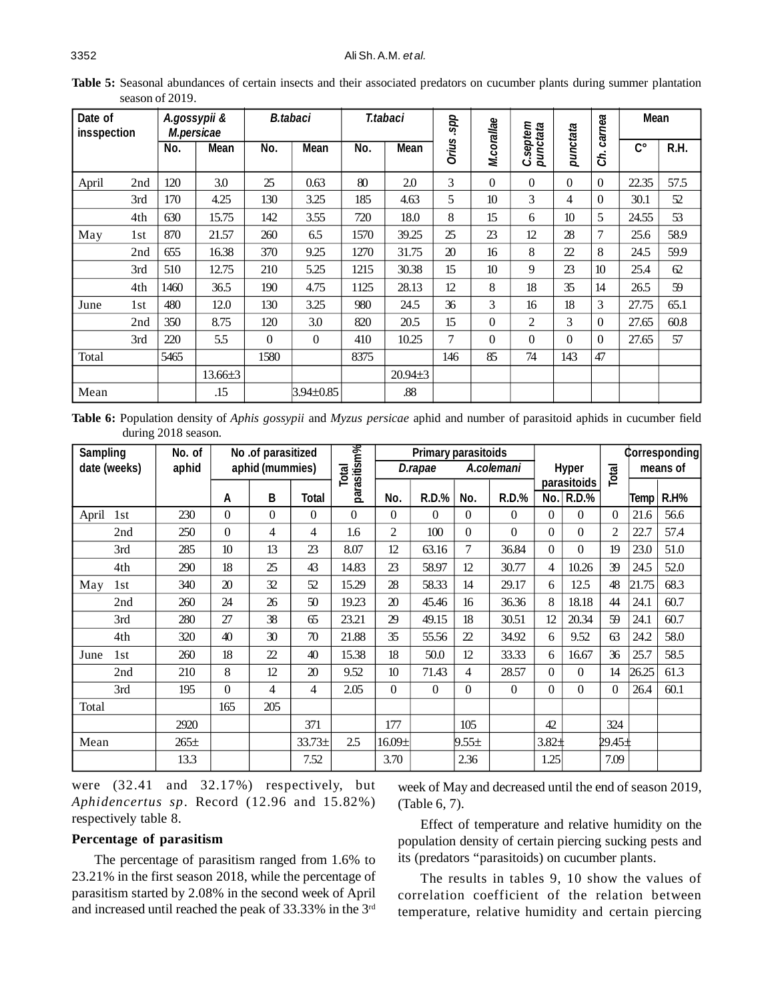| Date of<br>insspection |     | A.gossypii &<br>M.persicae |               |          | <b>B.tabaci</b> |      | T.tabaci      | spp          |                 |                          |                  | carnea   | <b>Mean</b>        |      |
|------------------------|-----|----------------------------|---------------|----------|-----------------|------|---------------|--------------|-----------------|--------------------------|------------------|----------|--------------------|------|
|                        |     | No.                        | Mean          | No.      | <b>Mean</b>     | No.  | <b>Mean</b>   | <b>Orius</b> | M.corallae      | .septem<br>punctata<br>ن | punctata         | ర్       | $\mathsf{C}^\circ$ | R.H. |
| April                  | 2nd | 120                        | 3.0           | 25       | 0.63            | 80   | 2.0           | 3            | $\theta$        | $\theta$                 | $\theta$         | $\Omega$ | 22.35              | 57.5 |
|                        | 3rd | 170                        | 4.25          | 130      | 3.25            | 185  | 4.63          | 5            | 10 <sup>2</sup> | 3                        | 4                | $\Omega$ | 30.1               | 52   |
|                        | 4th | 630                        | 15.75         | 142      | 3.55            | 720  | 18.0          | 8            | 15              | 6                        | 10 <sup>10</sup> | 5        | 24.55              | 53   |
| May                    | 1st | 870                        | 21.57         | 260      | 6.5             | 1570 | 39.25         | 25           | 23              | 12                       | 28               | 7        | 25.6               | 58.9 |
|                        | 2nd | 655                        | 16.38         | 370      | 9.25            | 1270 | 31.75         | 20           | 16              | 8                        | 22               | 8        | 24.5               | 59.9 |
|                        | 3rd | 510                        | 12.75         | 210      | 5.25            | 1215 | 30.38         | 15           | 10              | 9                        | 23               | 10       | 25.4               | 62   |
|                        | 4th | 1460                       | 36.5          | 190      | 4.75            | 1125 | 28.13         | 12           | 8               | 18                       | 35               | 14       | 26.5               | 59   |
| June                   | 1st | 480                        | 12.0          | 130      | 3.25            | 980  | 24.5          | 36           | 3               | 16                       | 18               | 3        | 27.75              | 65.1 |
|                        | 2nd | 350                        | 8.75          | 120      | 3.0             | 820  | 20.5          | 15           | $\theta$        | 2                        | 3                | $\Omega$ | 27.65              | 60.8 |
|                        | 3rd | 220                        | 5.5           | $\theta$ | $\Omega$        | 410  | 10.25         | 7            | $\theta$        | $\theta$                 | $\Omega$         | $\Omega$ | 27.65              | 57   |
| Total                  |     | 5465                       |               | 1580     |                 | 8375 |               | 146          | 85              | 74                       | 143              | 47       |                    |      |
|                        |     |                            | $13.66 \pm 3$ |          |                 |      | $20.94 \pm 3$ |              |                 |                          |                  |          |                    |      |
| Mean                   |     |                            | .15           |          | $3.94 \pm 0.85$ |      | .88           |              |                 |                          |                  |          |                    |      |

Table 5: Seasonal abundances of certain insects and their associated predators on cucumber plants during summer plantation season of 2019.

**Table 6:** Population density of *Aphis gossypii* and *Myzus persicae* aphid and number of parasitoid aphids in cucumber field during 2018 season.

| <b>Sampling</b> | No. of    |                  | No .of parasitized |          |             |             | <b>Primary parasitoids</b> |                |              |          |                             |                |             | Corresponding |
|-----------------|-----------|------------------|--------------------|----------|-------------|-------------|----------------------------|----------------|--------------|----------|-----------------------------|----------------|-------------|---------------|
| date (weeks)    | aphid     |                  | aphid (mummies)    |          | Total       |             | D.rapae                    |                | A.colemani   |          | <b>Hyper</b>                | Total          |             | means of      |
|                 |           | A                | B                  | Total    | parasitism% | No.         | <b>R.D.%</b>               | No.            | <b>R.D.%</b> | No.      | parasitoids<br><b>R.D.%</b> |                |             | <b>R.H%</b>   |
|                 |           |                  |                    |          |             |             |                            |                |              |          |                             |                | <b>Temp</b> |               |
| April<br>1st    | 230       | $\boldsymbol{0}$ | $\theta$           | $\Omega$ | $\Omega$    | 0           | $\Omega$                   | 0              | $\theta$     | $\Omega$ | $\Omega$                    | $\theta$       | 21.6        | 56.6          |
| 2nd             | 250       | $\mathbf{0}$     | 4                  | 4        | 1.6         | 2           | 100                        | 0              | $\theta$     | $\theta$ | $\Omega$                    | $\overline{2}$ | 22.7        | 57.4          |
| 3rd             | 285       | 10               | 13                 | 23       | 8.07        | 12          | 63.16                      | $\tau$         | 36.84        | $\Omega$ | $\Omega$                    | 19             | 23.0        | 51.0          |
| 4th             | 290       | 18               | 25                 | 43       | 14.83       | 23          | 58.97                      | 12             | 30.77        | 4        | 10.26                       | 39             | 24.5        | 52.0          |
| May<br>1st      | 340       | 20               | 32                 | 52       | 15.29       | 28          | 58.33                      | 14             | 29.17        | 6        | 12.5                        | 48             | 21.75       | 68.3          |
| 2nd             | 260       | 24               | 26                 | 50       | 19.23       | 20          | 45.46                      | 16             | 36.36        | 8        | 18.18                       | 44             | 24.1        | 60.7          |
| 3rd             | 280       | 27               | 38                 | 65       | 23.21       | 29          | 49.15                      | 18             | 30.51        | 12       | 20.34                       | 59             | 24.1        | 60.7          |
| 4th             | 320       | 40               | 30                 | 70       | 21.88       | 35          | 55.56                      | $\mathfrak{D}$ | 34.92        | 6        | 9.52                        | 63             | 24.2        | 58.0          |
| June<br>1st     | 260       | 18               | 22                 | 40       | 15.38       | 18          | 50.0                       | 12             | 33.33        | 6        | 16.67                       | 36             | 25.7        | 58.5          |
| 2nd             | 210       | 8                | 12                 | 20       | 9.52        | 10          | 71.43                      | 4              | 28.57        | $\Omega$ | $\Omega$                    | 14             | 26.25       | 61.3          |
| 3rd             | 195       | $\theta$         | 4                  | 4        | 2.05        | $\theta$    | $\overline{0}$             | 0              | $\Omega$     | $\Omega$ | $\Omega$                    | $\theta$       | 26.4        | 60.1          |
| Total           |           | 165              | 205                |          |             |             |                            |                |              |          |                             |                |             |               |
|                 | 2920      |                  |                    | 371      |             | 177         |                            | 105            |              | 42       |                             | 324            |             |               |
| Mean            | $265 \pm$ |                  |                    | $33.73+$ | 2.5         | $16.09 \pm$ |                            | $9.55 \pm$     |              | $3.82 +$ |                             | 29.45±         |             |               |
|                 | 13.3      |                  |                    | 7.52     |             | 3.70        |                            | 2.36           |              | 1.25     |                             | 7.09           |             |               |

were (32.41 and 32.17%) respectively, but *Aphidencertus sp*. Record (12.96 and 15.82%) respectively table 8.

# **Percentage of parasitism**

The percentage of parasitism ranged from 1.6% to 23.21% in the first season 2018, while the percentage of parasitism started by 2.08% in the second week of April and increased until reached the peak of 33.33% in the 3rd week of May and decreased until the end of season 2019, (Table 6, 7).

Effect of temperature and relative humidity on the population density of certain piercing sucking pests and its (predators "parasitoids) on cucumber plants.

The results in tables 9, 10 show the values of correlation coefficient of the relation between temperature, relative humidity and certain piercing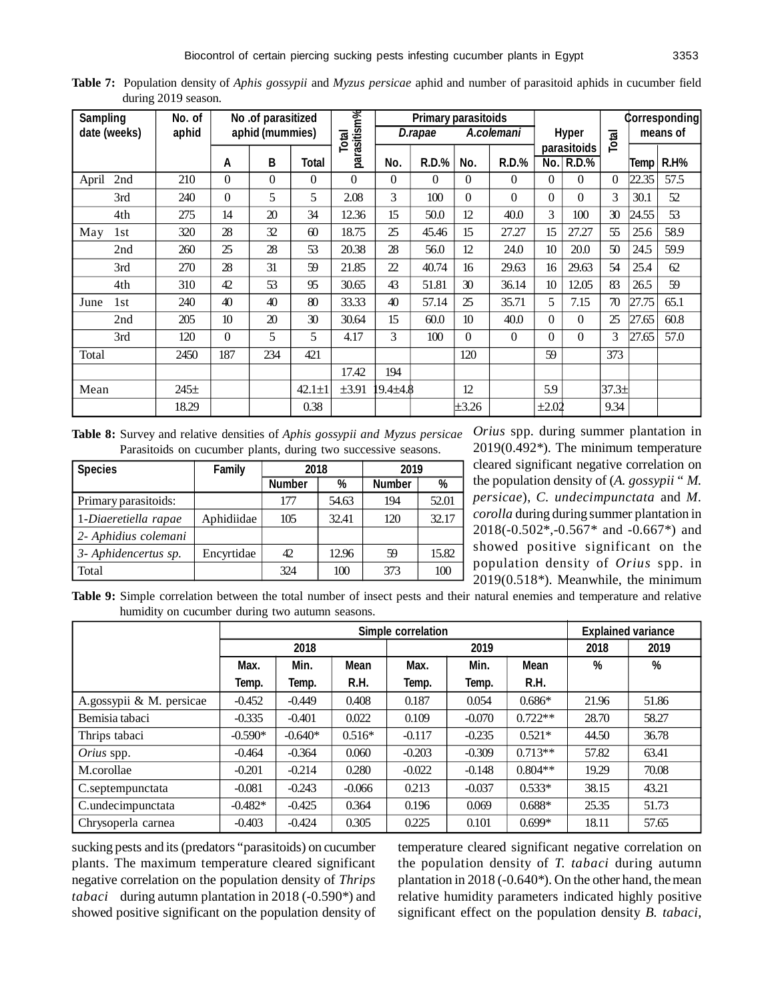**Table 7:** Population density of *Aphis gossypii* and *Myzus persicae* aphid and number of parasitoid aphids in cucumber field during 2019 season.

| <b>Sampling</b> |              | No. of |                  | No .of parasitized |              |                      |          | <b>Primary parasitoids</b> |                 |              |                  |              |          |       | <b>Corresponding</b> |
|-----------------|--------------|--------|------------------|--------------------|--------------|----------------------|----------|----------------------------|-----------------|--------------|------------------|--------------|----------|-------|----------------------|
|                 | date (weeks) | aphid  |                  | aphid (mummies)    |              | parasitism%<br>Total |          | D.rapae                    |                 | A.colemani   |                  | <b>Hyper</b> | Total    |       | means of             |
|                 |              |        |                  |                    |              |                      |          |                            |                 |              |                  | parasitoids  |          |       |                      |
|                 |              |        | A                | B                  | Total        |                      | No.      | <b>R.D.%</b>               | No.             | <b>R.D.%</b> | No.              | $R.D.$ %     |          | Temp  | <b>R.H%</b>          |
| April           | 2nd          | 210    | $\theta$         | $\theta$           | $\theta$     | $\Omega$             | 0        | 0                          | 0               | $\Omega$     | $\Omega$         | $\Omega$     | $\Omega$ | 22.35 | 57.5                 |
|                 | 3rd          | 240    | $\boldsymbol{0}$ | 5                  | 5            | 2.08                 | 3        | 100                        | $\theta$        | $\theta$     | $\Omega$         | $\Omega$     | 3        | 30.1  | 52                   |
|                 | 4th          | 275    | 14               | 20                 | 34           | 12.36                | 15       | 50.0                       | 12              | 40.0         | 3                | 100          | 30       | 24.55 | 53                   |
| May             | 1st          | 320    | 28               | 32                 | 60           | 18.75                | 25       | 45.46                      | 15              | 27.27        | 15               | 27.27        | 55       | 25.6  | 58.9                 |
|                 | 2nd          | 260    | 25               | 28                 | 53           | 20.38                | 28       | 56.0                       | 12              | 24.0         | 10               | 20.0         | 50       | 24.5  | 59.9                 |
|                 | 3rd          | 270    | 28               | 31                 | 59           | 21.85                | 22       | 40.74                      | 16              | 29.63        | 16               | 29.63        | 54       | 25.4  | 62                   |
|                 | 4th          | 310    | 42               | 53                 | 95           | 30.65                | 43       | 51.81                      | 30              | 36.14        | 10 <sup>10</sup> | 12.05        | 83       | 26.5  | 59                   |
| June            | 1st          | 240    | 40               | 40                 | 80           | 33.33                | 40       | 57.14                      | 25              | 35.71        | 5                | 7.15         | 70       | 27.75 | 65.1                 |
|                 | 2nd          | 205    | 10 <sup>10</sup> | 20                 | 30           | 30.64                | 15       | 60.0                       | 10 <sup>2</sup> | 40.0         | $\Omega$         | $\Omega$     | 25       | 27.65 | 60.8                 |
|                 | 3rd          | 120    | $\boldsymbol{0}$ | 5                  | 5            | 4.17                 | 3        | 100                        | $\theta$        | $\theta$     | $\Omega$         | $\Omega$     | 3        | 27.65 | 57.0                 |
| Total           |              | 2450   | 187              | 234                | 421          |                      |          |                            | 120             |              | 59               |              | 373      |       |                      |
|                 |              |        |                  |                    |              | 17.42                | 194      |                            |                 |              |                  |              |          |       |                      |
| Mean            |              | $245+$ |                  |                    | $42.1 \pm 1$ | $\pm 3.91$           | 19.4±4.8 |                            | 12              |              | 5.9              |              | $37.3+$  |       |                      |
|                 |              | 18.29  |                  |                    | 0.38         |                      |          |                            | $\pm 3.26$      |              | $\pm 2.02$       |              | 9.34     |       |                      |

**Table 8:** Survey and relative densities of *Aphis gossypii and Myzus persicae* Parasitoids on cucumber plants, during two successive seasons.

| <b>Species</b>       | <b>Family</b> | 2018          |       | 2019          |       |  |
|----------------------|---------------|---------------|-------|---------------|-------|--|
|                      |               | <b>Number</b> | %     | <b>Number</b> | %     |  |
| Primary parasitoids: |               | 177           | 54.63 | 194           | 52.01 |  |
| 1-Diaeretiella rapae | Aphidiidae    | 105           | 32.41 | 120           | 32.17 |  |
| 2- Aphidius colemani |               |               |       |               |       |  |
| 3- Aphidencertus sp. | Encyrtidae    | 42            | 12.96 | 59            | 15.82 |  |
| Total                |               | 324           | 100   | 373           | 100   |  |

*Orius* spp. during summer plantation in 2019(0.492\*). The minimum temperature cleared significant negative correlation on the population density of (*A. gossypii* " *M. persicae*), *C. undecimpunctata* and *M. corolla* during during summer plantation in 2018(-0.502\*,-0.567\* and -0.667\*) and showed positive significant on the population density of *Orius* spp. in 2019(0.518\*). Meanwhile, the minimum

**Table 9:** Simple correlation between the total number of insect pests and their natural enemies and temperature and relative humidity on cucumber during two autumn seasons.

|                          |           |           |             |          | <b>Explained variance</b> |             |       |       |
|--------------------------|-----------|-----------|-------------|----------|---------------------------|-------------|-------|-------|
|                          |           | 2018      |             |          | 2019                      |             | 2018  | 2019  |
|                          | Max.      | Min.      | <b>Mean</b> | Max.     | Min.                      | <b>Mean</b> | %     | %     |
|                          | Temp.     | Temp.     | R.H.        | Temp.    | Temp.                     | R.H.        |       |       |
| A.gossypii & M. persicae | $-0.452$  | $-0.449$  | 0.408       | 0.187    | 0.054                     | $0.686*$    | 21.96 | 51.86 |
| Bemisia tabaci           | $-0.335$  | $-0.401$  | 0.022       | 0.109    | $-0.070$                  | $0.722**$   | 28.70 | 58.27 |
| Thrips tabaci            | $-0.590*$ | $-0.640*$ | $0.516*$    | $-0.117$ | $-0.235$                  | $0.521*$    | 44.50 | 36.78 |
| Orius spp.               | $-0.464$  | $-0.364$  | 0.060       | $-0.203$ | $-0.309$                  | $0.713**$   | 57.82 | 63.41 |
| M.corollae               | $-0.201$  | $-0.214$  | 0.280       | $-0.022$ | $-0.148$                  | $0.804**$   | 19.29 | 70.08 |
| C.septempunctata         | $-0.081$  | $-0.243$  | $-0.066$    | 0.213    | $-0.037$                  | $0.533*$    | 38.15 | 43.21 |
| C.undecimpunctata        | $-0.482*$ | $-0.425$  | 0.364       | 0.196    | 0.069                     | $0.688*$    | 25.35 | 51.73 |
| Chrysoperla carnea       | $-0.403$  | $-0.424$  | 0.305       | 0.225    | 0.101                     | $0.699*$    | 18.11 | 57.65 |

sucking pests and its (predators "parasitoids) on cucumber plants. The maximum temperature cleared significant negative correlation on the population density of *Thrips tabaci* during autumn plantation in 2018 (-0.590\*) and showed positive significant on the population density of temperature cleared significant negative correlation on the population density of *T. tabaci* during autumn plantation in 2018 (-0.640\*). On the other hand, the mean relative humidity parameters indicated highly positive significant effect on the population density *B. tabaci*,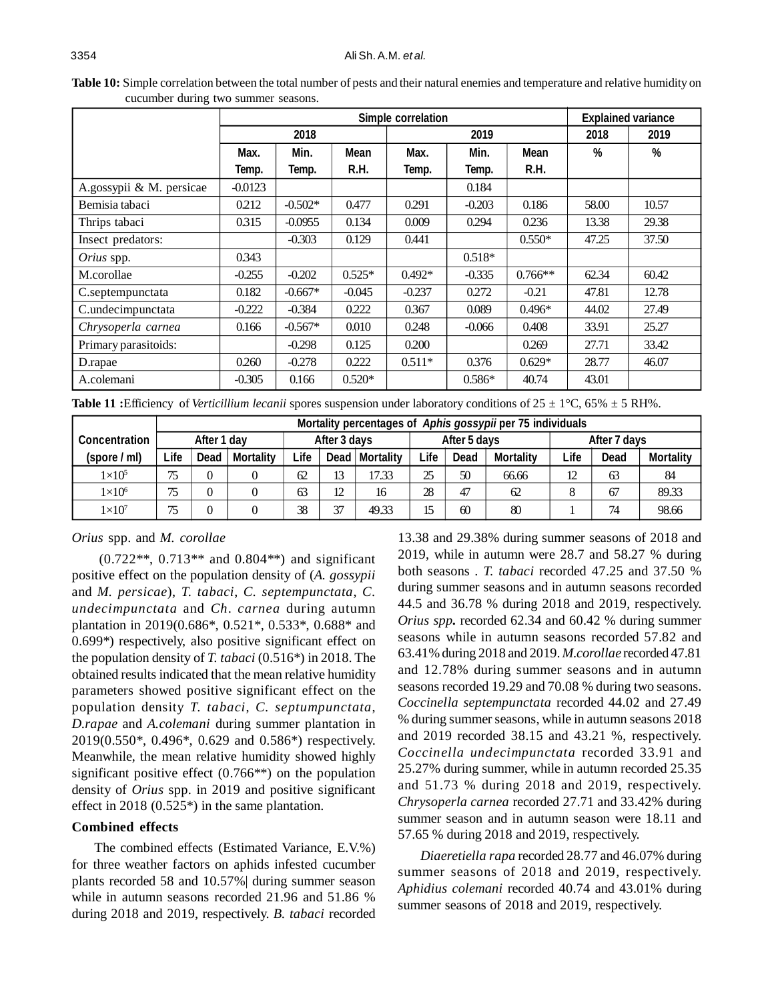|                          |           |           | <b>Simple correlation</b> |          |          |             | <b>Explained variance</b> |       |
|--------------------------|-----------|-----------|---------------------------|----------|----------|-------------|---------------------------|-------|
|                          |           | 2018      |                           |          | 2019     |             | 2018                      | 2019  |
|                          | Max.      | Min.      | <b>Mean</b>               | Max.     | Min.     | <b>Mean</b> | %                         | %     |
|                          | Temp.     | Temp.     | R.H.                      | Temp.    | Temp.    | R.H.        |                           |       |
| A.gossypii & M. persicae | $-0.0123$ |           |                           |          | 0.184    |             |                           |       |
| Bemisia tabaci           | 0.212     | $-0.502*$ | 0.477                     | 0.291    | $-0.203$ | 0.186       | 58.00                     | 10.57 |
| Thrips tabaci            | 0.315     | $-0.0955$ | 0.134                     | 0.009    | 0.294    | 0.236       | 13.38                     | 29.38 |
| Insect predators:        |           | $-0.303$  | 0.129                     | 0.441    |          | $0.550*$    | 47.25                     | 37.50 |
| Orius spp.               | 0.343     |           |                           |          | $0.518*$ |             |                           |       |
| M.corollae               | $-0.255$  | $-0.202$  | $0.525*$                  | $0.492*$ | $-0.335$ | $0.766**$   | 62.34                     | 60.42 |
| C.septempunctata         | 0.182     | $-0.667*$ | $-0.045$                  | $-0.237$ | 0.272    | $-0.21$     | 47.81                     | 12.78 |
| C.undecimpunctata        | $-0.222$  | $-0.384$  | 0.222                     | 0.367    | 0.089    | $0.496*$    | 44.02                     | 27.49 |
| Chrysoperla carnea       | 0.166     | $-0.567*$ | 0.010                     | 0.248    | $-0.066$ | 0.408       | 33.91                     | 25.27 |
| Primary parasitoids:     |           | $-0.298$  | 0.125                     | 0.200    |          | 0.269       | 27.71                     | 33.42 |
| D.rapae                  | 0.260     | $-0.278$  | 0.222                     | $0.511*$ | 0.376    | $0.629*$    | 28.77                     | 46.07 |
| A.colemani               | $-0.305$  | 0.166     | $0.520*$                  |          | $0.586*$ | 40.74       | 43.01                     |       |

**Table 10:** Simple correlation between the total number of pests and their natural enemies and temperature and relative humidity on cucumber during two summer seasons.

**Table 11 :**Efficiency of *Verticillium lecanii* spores suspension under laboratory conditions of  $25 \pm 1^{\circ}$ C, 65%  $\pm$  5 RH%.

|                      |      |                |                  |      |              |                  |      |              | Mortality percentages of Aphis gossypii per 75 individuals |      |              |                  |
|----------------------|------|----------------|------------------|------|--------------|------------------|------|--------------|------------------------------------------------------------|------|--------------|------------------|
| <b>Concentration</b> |      | After 1 day    |                  |      | After 3 days |                  |      | After 5 days |                                                            |      | After 7 days |                  |
| (spore / ml)         | ∟ife | Dead           | <b>Mortality</b> | ∟ife |              | Dead   Mortality | Life | <b>Dead</b>  | <b>Mortality</b>                                           | Life | Dead         | <b>Mortality</b> |
| $1\times10^5$        | 75   | $\theta$       |                  | 62   | 13           | 17.33            | 25   | 50           | 66.66                                                      | 12   | 63           | 84               |
| $1\times10^6$        | 75   | $\overline{0}$ |                  | 63   | 12           | 16               | 28   | 47           | 62                                                         | ◠    | 67           | 89.33            |
| $1\times10^7$        | 75   | 0              |                  | 38   | 37           | 49.33            | 15   | 60           | 80                                                         |      | 74           | 98.66            |

## *Orius* spp. and *M. corollae*

(0.722\*\*, 0.713\*\* and 0.804\*\*) and significant positive effect on the population density of (*A. gossypii* and *M. persicae*), *T. tabaci*, *C. septempunctata*, *C. undecimpunctata* and *Ch. carnea* during autumn plantation in 2019(0.686\*, 0.521\*, 0.533\*, 0.688\* and 0.699\*) respectively, also positive significant effect on the population density of *T. tabaci* (0.516\*) in 2018. The obtained results indicated that the mean relative humidity parameters showed positive significant effect on the population density *T. tabaci*, *C. septumpunctata*, *D.rapae* and *A.colemani* during summer plantation in 2019(0.550\*, 0.496\*, 0.629 and 0.586\*) respectively. Meanwhile, the mean relative humidity showed highly significant positive effect (0.766\*\*) on the population density of *Orius* spp. in 2019 and positive significant effect in 2018 (0.525\*) in the same plantation.

# **Combined effects**

The combined effects (Estimated Variance, E.V.%) for three weather factors on aphids infested cucumber plants recorded 58 and 10.57%| during summer season while in autumn seasons recorded 21.96 and 51.86 % during 2018 and 2019, respectively. *B. tabaci* recorded

13.38 and 29.38% during summer seasons of 2018 and 2019, while in autumn were 28.7 and 58.27 % during both seasons . *T. tabaci* recorded 47.25 and 37.50 % during summer seasons and in autumn seasons recorded 44.5 and 36.78 % during 2018 and 2019, respectively. *Orius spp.* recorded 62.34 and 60.42 % during summer seasons while in autumn seasons recorded 57.82 and 63.41% during 2018 and 2019. *M.corollae* recorded 47.81 and 12.78% during summer seasons and in autumn seasons recorded 19.29 and 70.08 % during two seasons. *Coccinella septempunctata* recorded 44.02 and 27.49 % during summer seasons, while in autumn seasons 2018 and 2019 recorded 38.15 and 43.21 %, respectively. *Coccinella undecimpunctata* recorded 33.91 and 25.27% during summer, while in autumn recorded 25.35 and 51.73 % during 2018 and 2019, respectively. *Chrysoperla carnea* recorded 27.71 and 33.42% during summer season and in autumn season were 18.11 and 57.65 % during 2018 and 2019, respectively.

*Diaeretiella rapa* recorded 28.77 and 46.07% during summer seasons of 2018 and 2019, respectively. *Aphidius colemani* recorded 40.74 and 43.01% during summer seasons of 2018 and 2019, respectively.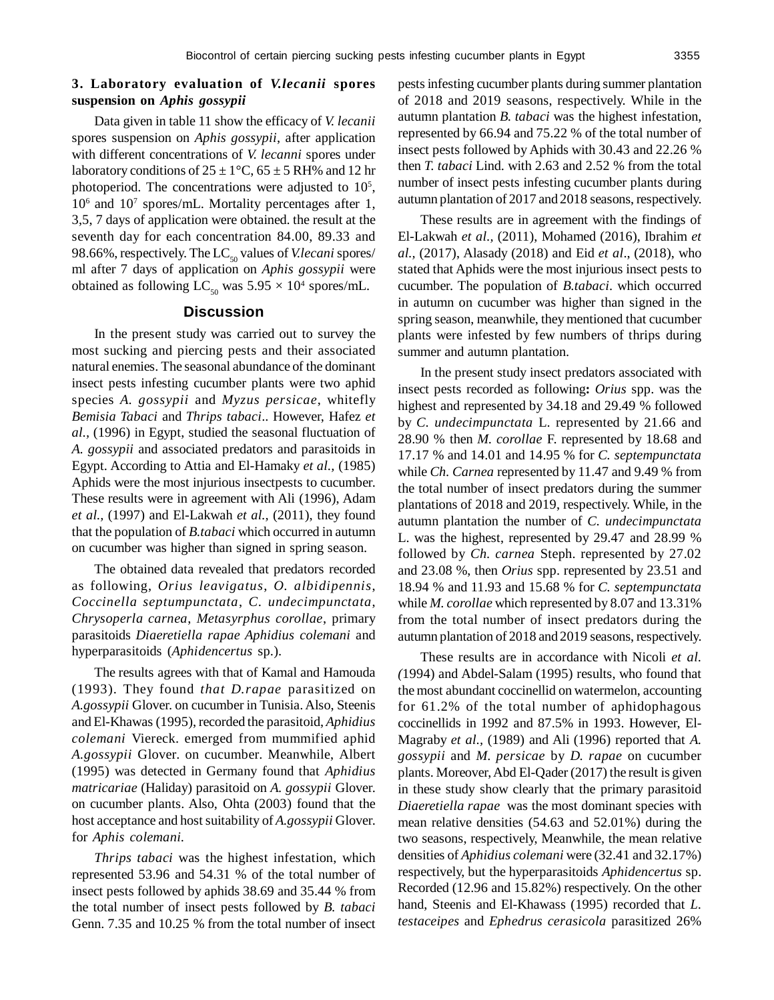# **3. Laboratory evaluation of** *V.lecanii* **spores suspension on** *Aphis gossypii*

Data given in table 11 show the efficacy of *V. lecanii* spores suspension on *Aphis gossypii*, after application with different concentrations of *V. lecanni* spores under laboratory conditions of  $25 \pm 1$ °C,  $65 \pm 5$  RH% and 12 hr photoperiod. The concentrations were adjusted to  $10<sup>5</sup>$ , 10<sup>6</sup> and 10<sup>7</sup> spores/mL. Mortality percentages after 1, 3,5, 7 days of application were obtained. the result at the seventh day for each concentration 84.00, 89.33 and 98.66%, respectively. The LC<sub>50</sub> values of *V.lecani* spores/ ml after 7 days of application on *Aphis gossypii* were obtained as following  $LC_{50}$  was  $5.95 \times 10^4$  spores/mL.

# **Discussion**

In the present study was carried out to survey the most sucking and piercing pests and their associated natural enemies. The seasonal abundance of the dominant insect pests infesting cucumber plants were two aphid species *A. gossypii* and *Myzus persicae*, whitefly *Bemisia Tabaci* and *Thrips tabaci*.. However, Hafez *et al.,* (1996) in Egypt, studied the seasonal fluctuation of *A. gossypii* and associated predators and parasitoids in Egypt. According to Attia and El-Hamaky *et al.,* (1985) Aphids were the most injurious insectpests to cucumber. These results were in agreement with Ali (1996), Adam *et al.,* (1997) and El-Lakwah *et al.,* (2011), they found that the population of *B.tabaci* which occurred in autumn on cucumber was higher than signed in spring season.

The obtained data revealed that predators recorded as following, *Orius leavigatus*, *O. albidipennis*, *Coccinella septumpunctata*, *C. undecimpunctata*, *Chrysoperla carnea*, *Metasyrphus corollae*, primary parasitoids *Diaeretiella rapae Aphidius colemani* and hyperparasitoids (*Aphidencertus* sp.).

The results agrees with that of Kamal and Hamouda (1993). They found *that D.rapae* parasitized on *A.gossypii* Glover. on cucumber in Tunisia. Also, Steenis and El-Khawas (1995), recorded the parasitoid, *Aphidius colemani* Viereck. emerged from mummified aphid *A.gossypii* Glover. on cucumber. Meanwhile, Albert (1995) was detected in Germany found that *Aphidius matricariae* (Haliday) parasitoid on *A. gossypii* Glover. on cucumber plants. Also, Ohta (2003) found that the host acceptance and host suitability of *A.gossypii* Glover. for *Aphis colemani.*

*Thrips tabaci* was the highest infestation, which represented 53.96 and 54.31 % of the total number of insect pests followed by aphids 38.69 and 35.44 % from the total number of insect pests followed by *B. tabaci* Genn. 7.35 and 10.25 % from the total number of insect pests infesting cucumber plants during summer plantation of 2018 and 2019 seasons, respectively. While in the autumn plantation *B. tabaci* was the highest infestation, represented by 66.94 and 75.22 % of the total number of insect pests followed by Aphids with 30.43 and 22.26 % then *T. tabaci* Lind. with 2.63 and 2.52 % from the total number of insect pests infesting cucumber plants during autumn plantation of 2017 and 2018 seasons, respectively.

These results are in agreement with the findings of El-Lakwah *et al.,* (2011), Mohamed (2016), Ibrahim *et al.,* (2017), Alasady (2018) and Eid *et al*., (2018), who stated that Aphids were the most injurious insect pests to cucumber. The population of *B.tabaci*. which occurred in autumn on cucumber was higher than signed in the spring season, meanwhile, they mentioned that cucumber plants were infested by few numbers of thrips during summer and autumn plantation.

In the present study insect predators associated with insect pests recorded as following**:** *Orius* spp. was the highest and represented by 34.18 and 29.49 % followed by *C. undecimpunctata* L. represented by 21.66 and 28.90 % then *M. corollae* F. represented by 18.68 and 17.17 % and 14.01 and 14.95 % for *C. septempunctata* while *Ch. Carnea* represented by 11.47 and 9.49 % from the total number of insect predators during the summer plantations of 2018 and 2019, respectively. While, in the autumn plantation the number of *C. undecimpunctata* L. was the highest, represented by 29.47 and 28.99 % followed by *Ch. carnea* Steph. represented by 27.02 and 23.08 %, then *Orius* spp. represented by 23.51 and 18.94 % and 11.93 and 15.68 % for *C. septempunctata* while *M. corollae* which represented by 8.07 and 13.31% from the total number of insect predators during the autumn plantation of 2018 and 2019 seasons, respectively.

These results are in accordance with Nicoli *et al. (*1994) and Abdel-Salam (1995) results, who found that the most abundant coccinellid on watermelon, accounting for 61.2% of the total number of aphidophagous coccinellids in 1992 and 87.5% in 1993. However, El-Magraby *et al.,* (1989) and Ali (1996) reported that *A. gossypii* and *M. persicae* by *D. rapae* on cucumber plants. Moreover, Abd El-Qader (2017) the result is given in these study show clearly that the primary parasitoid *Diaeretiella rapae* was the most dominant species with mean relative densities (54.63 and 52.01%) during the two seasons, respectively, Meanwhile, the mean relative densities of *Aphidius colemani* were (32.41 and 32.17%) respectively, but the hyperparasitoids *Aphidencertus* sp. Recorded (12.96 and 15.82%) respectively. On the other hand, Steenis and El-Khawass (1995) recorded that *L. testaceipes* and *Ephedrus cerasicola* parasitized 26%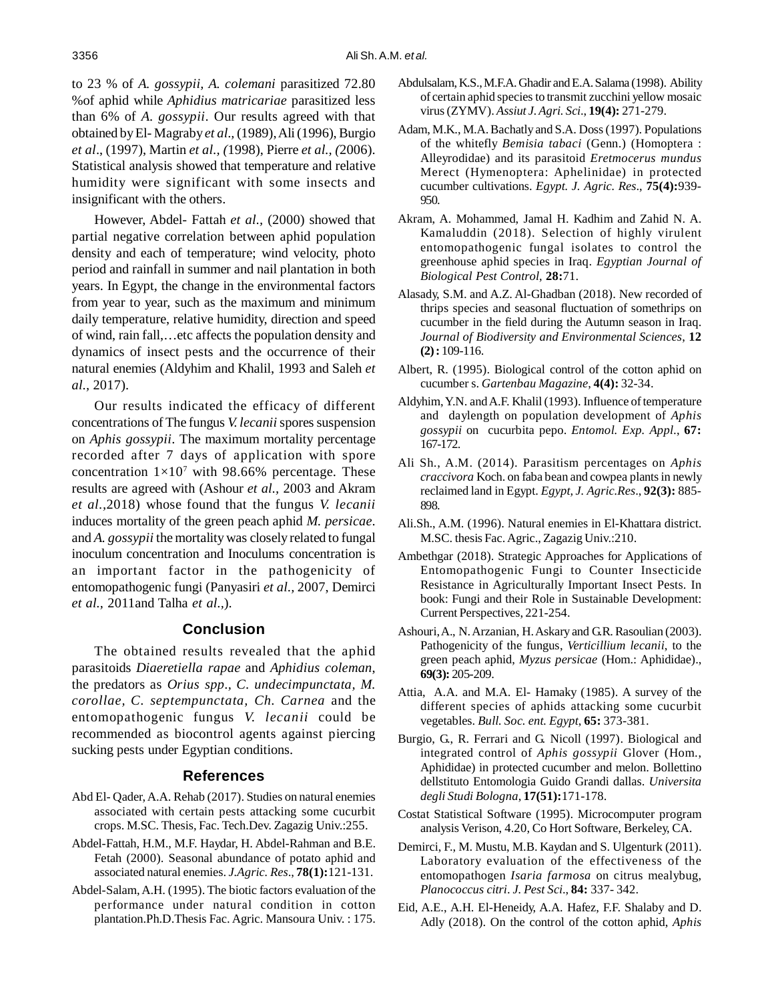to 23 % of *A. gossypii, A. colemani* parasitized 72.80 %of aphid while *Aphidius matricariae* parasitized less than 6% of *A. gossypii*. Our results agreed with that obtained by El- Magraby *et al.,* (1989), Ali (1996), Burgio *et al*., (1997), Martin *et al., (*1998), Pierre *et al., (*2006). Statistical analysis showed that temperature and relative humidity were significant with some insects and insignificant with the others.

However, Abdel- Fattah *et al.,* (2000) showed that partial negative correlation between aphid population density and each of temperature; wind velocity, photo period and rainfall in summer and nail plantation in both years. In Egypt, the change in the environmental factors from year to year, such as the maximum and minimum daily temperature, relative humidity, direction and speed of wind, rain fall,…etc affects the population density and dynamics of insect pests and the occurrence of their natural enemies (Aldyhim and Khalil, 1993 and Saleh *et al.,* 2017).

Our results indicated the efficacy of different concentrations of The fungus *V. lecanii* spores suspension on *Aphis gossypii*. The maximum mortality percentage recorded after 7 days of application with spore concentration  $1 \times 10^7$  with 98.66% percentage. These results are agreed with (Ashour *et al.,* 2003 and Akram *et al.,*2018) whose found that the fungus *V. lecanii* induces mortality of the green peach aphid *M. persicae*. and *A. gossypii* the mortality was closely related to fungal inoculum concentration and Inoculums concentration is an important factor in the pathogenicity of entomopathogenic fungi (Panyasiri *et al.,* 2007, Demirci *et al.,* 2011and Talha *et al.,*).

# **Conclusion**

The obtained results revealed that the aphid parasitoids *Diaeretiella rapae* and *Aphidius coleman*, the predators as *Orius spp., C. undecimpunctata, M. corollae, C. septempunctata, Ch. Carnea* and the entomopathogenic fungus *V. lecanii* could be recommended as biocontrol agents against piercing sucking pests under Egyptian conditions.

# **References**

- Abd El- Qader, A.A. Rehab (2017). Studies on natural enemies associated with certain pests attacking some cucurbit crops. M.SC. Thesis, Fac. Tech.Dev. Zagazig Univ.:255.
- Abdel-Fattah, H.M., M.F. Haydar, H. Abdel-Rahman and B.E. Fetah (2000). Seasonal abundance of potato aphid and associated natural enemies. *J.Agric. Res*., **78(1):**121-131.
- Abdel-Salam, A.H. (1995). The biotic factors evaluation of the performance under natural condition in cotton plantation.Ph.D.Thesis Fac. Agric. Mansoura Univ. : 175.
- Abdulsalam, K.S., M.F.A. Ghadir and E.A. Salama (1998). Ability of certain aphid species to transmit zucchini yellow mosaic virus (ZYMV). *Assiut J. Agri. Sci*., **19(4):** 271-279.
- Adam, M.K., M.A. Bachatly and S.A. Doss (1997). Populations of the whitefly *Bemisia tabaci* (Genn.) (Homoptera : Alleyrodidae) and its parasitoid *Eretmocerus mundus* Merect (Hymenoptera: Aphelinidae) in protected cucumber cultivations. *Egypt. J. Agric. Res*., **75(4):**939- 950.
- Akram, A. Mohammed, Jamal H. Kadhim and Zahid N. A. Kamaluddin (2018). Selection of highly virulent entomopathogenic fungal isolates to control the greenhouse aphid species in Iraq. *Egyptian Journal of Biological Pest Control*, **28:**71.
- Alasady, S.M. and A.Z. Al-Ghadban (2018). New recorded of thrips species and seasonal fluctuation of somethrips on cucumber in the field during the Autumn season in Iraq. *Journal of Biodiversity and Environmental Sciences*, **12 (2) :** 109-116.
- Albert, R. (1995). Biological control of the cotton aphid on cucumber s. *Gartenbau Magazine*, **4(4):** 32-34.
- Aldyhim, Y.N. and A.F. Khalil (1993). Influence of temperature and daylength on population development of *Aphis gossypii* on cucurbita pepo. *Entomol. Exp. Appl.*, **67:** 167-172.
- Ali Sh., A.M. (2014). Parasitism percentages on *Aphis craccivora* Koch. on faba bean and cowpea plants in newly reclaimed land in Egypt. *Egypt, J. Agric.Res*., **92(3):** 885- 898.
- Ali.Sh., A.M. (1996). Natural enemies in El-Khattara district. M.SC. thesis Fac. Agric., Zagazig Univ.:210.
- Ambethgar (2018). Strategic Approaches for Applications of Entomopathogenic Fungi to Counter Insecticide Resistance in Agriculturally Important Insect Pests. In book: Fungi and their Role in Sustainable Development: Current Perspectives, 221-254.
- Ashouri, A., N. Arzanian, H. Askary and G.R. Rasoulian (2003). Pathogenicity of the fungus, *Verticillium lecanii*, to the green peach aphid, *Myzus persicae* (Hom.: Aphididae)., **69(3):** 205-209.
- Attia, A.A. and M.A. El- Hamaky (1985). A survey of the different species of aphids attacking some cucurbit vegetables. *Bull. Soc. ent. Egypt*, **65:** 373-381.
- Burgio, G., R. Ferrari and G. Nicoll (1997). Biological and integrated control of *Aphis gossypii* Glover (Hom., Aphididae) in protected cucumber and melon. Bollettino dellstituto Entomologia Guido Grandi dallas. *Universita degli Studi Bologna*, **17(51):**171-178.
- Costat Statistical Software (1995). Microcomputer program analysis Verison, 4.20, Co Hort Software, Berkeley, CA.
- Demirci, F., M. Mustu, M.B. Kaydan and S. Ulgenturk (2011). Laboratory evaluation of the effectiveness of the entomopathogen *Isaria farmosa* on citrus mealybug, *Planococcus citri*. *J. Pest Sci*., **84:** 337- 342.
- Eid, A.E., A.H. El-Heneidy, A.A. Hafez, F.F. Shalaby and D. Adly (2018). On the control of the cotton aphid, *Aphis*